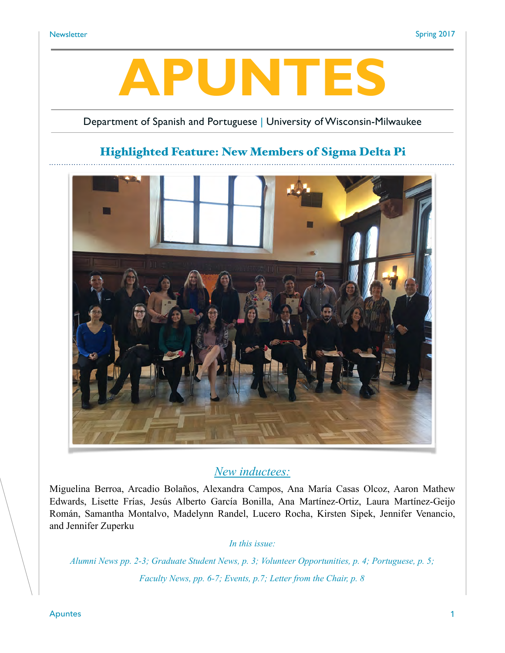# **APUNTES**

#### Department of Spanish and Portuguese | University of Wisconsin-Milwaukee

## Highlighted Feature: New Members of Sigma Delta Pi



#### *New inductees:*

Miguelina Berroa, Arcadio Bolaños, Alexandra Campos, Ana María Casas Olcoz, Aaron Mathew Edwards, Lisette Frías, Jesús Alberto García Bonilla, Ana Martínez-Ortiz, Laura Martínez-Geijo Román, Samantha Montalvo, Madelynn Randel, Lucero Rocha, Kirsten Sipek, Jennifer Venancio, and Jennifer Zuperku

*In this issue:* 

*Alumni News pp. 2-3; Graduate Student News, p. 3; Volunteer Opportunities, p. 4; Portuguese, p. 5; Faculty News, pp. 6-7; Events, p.7; Letter from the Chair, p. 8*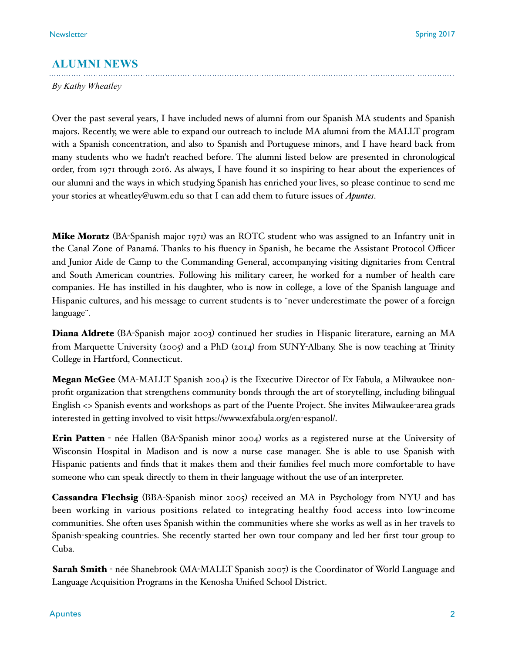#### **ALUMNI NEWS**

*By Kathy Wheatley*

Over the past several years, I have included news of alumni from our Spanish MA students and Spanish majors. Recently, we were able to expand our outreach to include MA alumni from the MALLT program with a Spanish concentration, and also to Spanish and Portuguese minors, and I have heard back from many students who we hadn't reached before. The alumni listed below are presented in chronological order, from 1971 through 2016. As always, I have found it so inspiring to hear about the experiences of our alumni and the ways in which studying Spanish has enriched your lives, so please continue to send me your stories at wheatley@uwm.edu so that I can add them to future issues of *Apuntes*.

Mike Moratz (BA-Spanish major 1971) was an ROTC student who was assigned to an Infantry unit in the Canal Zone of Panamá. Thanks to his fluency in Spanish, he became the Assistant Protocol Officer and Junior Aide de Camp to the Commanding General, accompanying visiting dignitaries from Central and South American countries. Following his military career, he worked for a number of health care companies. He has instilled in his daughter, who is now in college, a love of the Spanish language and Hispanic cultures, and his message to current students is to ¨never underestimate the power of a foreign language¨.

Diana Aldrete (BA-Spanish major 2003) continued her studies in Hispanic literature, earning an MA from Marquette University (2005) and a PhD (2014) from SUNY-Albany. She is now teaching at Trinity College in Hartford, Connecticut.

**Megan McGee** (MA-MALLT Spanish 2004) is the Executive Director of Ex Fabula, a Milwaukee nonprofit organization that strengthens community bonds through the art of storytelling, including bilingual English <> Spanish events and workshops as part of the Puente Project. She invites Milwaukee-area grads interested in getting involved to visit https://www.exfabula.org/en-espanol/.

**Erin Patten** - née Hallen (BA-Spanish minor 2004) works as a registered nurse at the University of Wisconsin Hospital in Madison and is now a nurse case manager. She is able to use Spanish with Hispanic patients and finds that it makes them and their families feel much more comfortable to have someone who can speak directly to them in their language without the use of an interpreter.

**Cassandra Flechsig** (BBA-Spanish minor 2005) received an MA in Psychology from NYU and has been working in various positions related to integrating healthy food access into low-income communities. She often uses Spanish within the communities where she works as well as in her travels to Spanish-speaking countries. She recently started her own tour company and led her first tour group to Cuba.

**Sarah Smith** - née Shanebrook (MA-MALLT Spanish 2007) is the Coordinator of World Language and Language Acquisition Programs in the Kenosha Unified School District.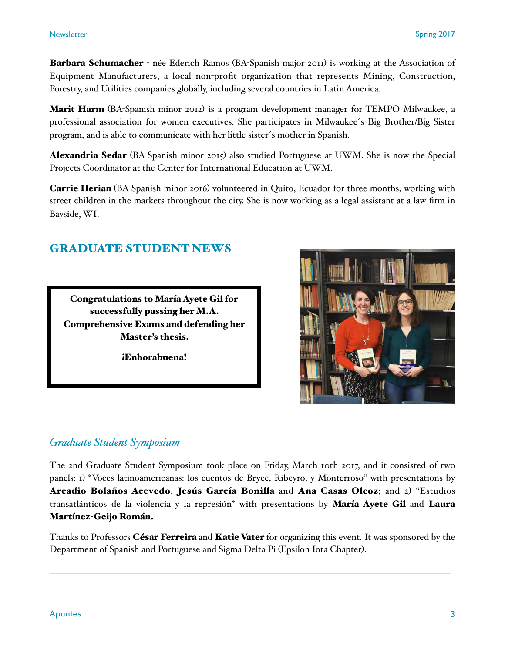Barbara Schumacher - née Ederich Ramos (BA-Spanish major 2011) is working at the Association of Equipment Manufacturers, a local non-profit organization that represents Mining, Construction, Forestry, and Utilities companies globally, including several countries in Latin America.

**Marit Harm** (BA-Spanish minor 2012) is a program development manager for TEMPO Milwaukee, a professional association for women executives. She participates in Milwaukee´s Big Brother/Big Sister program, and is able to communicate with her little sister´s mother in Spanish.

Alexandria Sedar (BA-Spanish minor 2015) also studied Portuguese at UWM. She is now the Special Projects Coordinator at the Center for International Education at UWM.

Carrie Herian (BA-Spanish minor 2016) volunteered in Quito, Ecuador for three months, working with street children in the markets throughout the city. She is now working as a legal assistant at a law firm in Bayside, WI.

*\_\_\_\_\_\_\_\_\_\_\_\_\_\_\_\_\_\_\_\_\_\_\_\_\_\_\_\_\_\_\_\_\_\_\_\_\_\_\_\_\_\_\_\_\_\_\_\_\_\_\_\_\_\_\_\_\_\_\_\_\_\_\_\_\_\_\_\_\_\_\_\_\_\_\_\_\_\_\_\_\_\_\_\_\_\_\_\_\_\_\_\_\_\_\_\_\_\_\_\_\_\_\_\_\_\_\_\_\_*

## GRADUATE STUDENT NEWS

Congratulations to María Ayete Gil for successfully passing her M.A. Comprehensive Exams and defending her Master's thesis.

¡Enhorabuena!



### *Graduate Student Symposium*

The 2nd Graduate Student Symposium took place on Friday, March 10th 2017, and it consisted of two panels: 1) "Voces latinoamericanas: los cuentos de Bryce, Ribeyro, y Monterroso" with presentations by Arcadio Bolaños Acevedo, Jesús García Bonilla and Ana Casas Olcoz; and 2) "Estudios transatlánticos de la violencia y la represión" with presentations by María Ayete Gil and Laura Martínez-Geijo Román.

Thanks to Professors César Ferreira and Katie Vater for organizing this event. It was sponsored by the Department of Spanish and Portuguese and Sigma Delta Pi (Epsilon Iota Chapter).

 $\mathcal{L}_\mathcal{L} = \mathcal{L}_\mathcal{L} = \mathcal{L}_\mathcal{L} = \mathcal{L}_\mathcal{L} = \mathcal{L}_\mathcal{L} = \mathcal{L}_\mathcal{L} = \mathcal{L}_\mathcal{L} = \mathcal{L}_\mathcal{L} = \mathcal{L}_\mathcal{L} = \mathcal{L}_\mathcal{L} = \mathcal{L}_\mathcal{L} = \mathcal{L}_\mathcal{L} = \mathcal{L}_\mathcal{L} = \mathcal{L}_\mathcal{L} = \mathcal{L}_\mathcal{L} = \mathcal{L}_\mathcal{L} = \mathcal{L}_\mathcal{L}$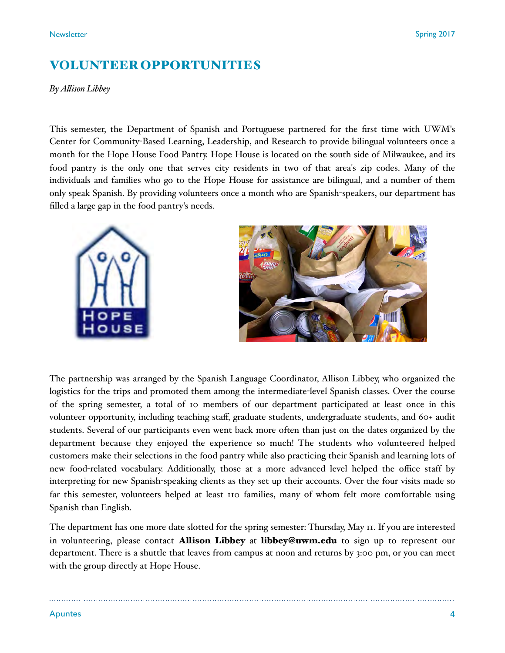## VOLUNTEER OPPORTUNITIES

*By Alison Libbey*

This semester, the Department of Spanish and Portuguese partnered for the first time with UWM's Center for Community-Based Learning, Leadership, and Research to provide bilingual volunteers once a month for the Hope House Food Pantry. Hope House is located on the south side of Milwaukee, and its food pantry is the only one that serves city residents in two of that area's zip codes. Many of the individuals and families who go to the Hope House for assistance are bilingual, and a number of them only speak Spanish. By providing volunteers once a month who are Spanish-speakers, our department has filled a large gap in the food pantry's needs.





The partnership was arranged by the Spanish Language Coordinator, Allison Libbey, who organized the logistics for the trips and promoted them among the intermediate-level Spanish classes. Over the course of the spring semester, a total of 10 members of our department participated at least once in this volunteer opportunity, including teaching staff, graduate students, undergraduate students, and 60+ audit students. Several of our participants even went back more often than just on the dates organized by the department because they enjoyed the experience so much! The students who volunteered helped customers make their selections in the food pantry while also practicing their Spanish and learning lots of new food-related vocabulary. Additionally, those at a more advanced level helped the office staff by interpreting for new Spanish-speaking clients as they set up their accounts. Over the four visits made so far this semester, volunteers helped at least 110 families, many of whom felt more comfortable using Spanish than English.

The department has one more date slotted for the spring semester: Thursday, May 11. If you are interested in volunteering, please contact **Allison Libbey** at **libbey@uwm.edu** to sign up to represent our department. There is a shuttle that leaves from campus at noon and returns by 3:00 pm, or you can meet with the group directly at Hope House.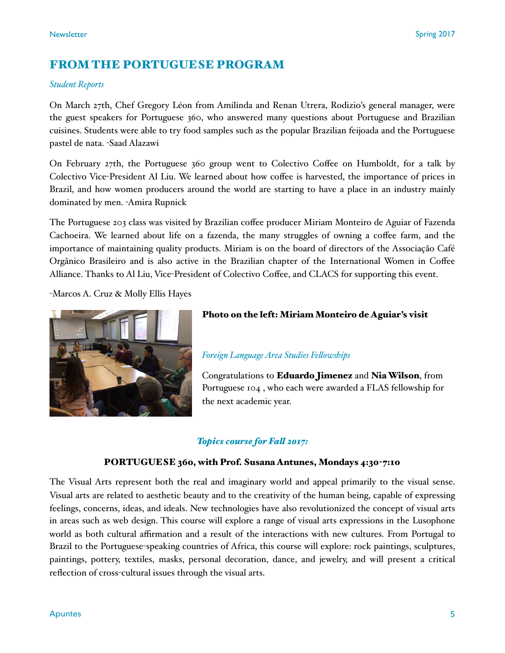## FROM THE PORTUGUESE PROGRAM

#### *Student Reports*

On March 27th, Chef Gregory Léon from Amilinda and Renan Utrera, Rodizio's general manager, were the guest speakers for Portuguese 360, who answered many questions about Portuguese and Brazilian cuisines. Students were able to try food samples such as the popular Brazilian feijoada and the Portuguese pastel de nata. -Saad Alazawi

On February 27th, the Portuguese 360 group went to Colectivo Coffee on Humboldt, for a talk by Colectivo Vice-President Al Liu. We learned about how coffee is harvested, the importance of prices in Brazil, and how women producers around the world are starting to have a place in an industry mainly dominated by men. -Amira Rupnick

The Portuguese 203 class was visited by Brazilian coffee producer Miriam Monteiro de Aguiar of Fazenda Cachoeira. We learned about life on a fazenda, the many struggles of owning a coffee farm, and the importance of maintaining quality products. Miriam is on the board of directors of the Associação Café Orgânico Brasileiro and is also active in the Brazilian chapter of the International Women in Coffee Alliance. Thanks to Al Liu, Vice-President of Colectivo Coffee, and CLACS for supporting this event.

-Marcos A. Cruz & Molly Ellis Hayes



#### Photo on the left: Miriam Monteiro de Aguiar's visit

#### *Foreign Language Area Studies Felowships*

Congratulations to Eduardo Jimenez and Nia Wilson, from Portuguese 104 , who each were awarded a FLAS fellowship for the next academic year.

#### *Topics course for Fal 2017:*

#### PORTUGUESE 360, with Prof. Susana Antunes, Mondays 4:30-7:10

The Visual Arts represent both the real and imaginary world and appeal primarily to the visual sense. Visual arts are related to aesthetic beauty and to the creativity of the human being, capable of expressing feelings, concerns, ideas, and ideals. New technologies have also revolutionized the concept of visual arts in areas such as web design. This course will explore a range of visual arts expressions in the Lusophone world as both cultural affirmation and a result of the interactions with new cultures. From Portugal to Brazil to the Portuguese-speaking countries of Africa, this course will explore: rock paintings, sculptures, paintings, pottery, textiles, masks, personal decoration, dance, and jewelry, and will present a critical reflection of cross-cultural issues through the visual arts.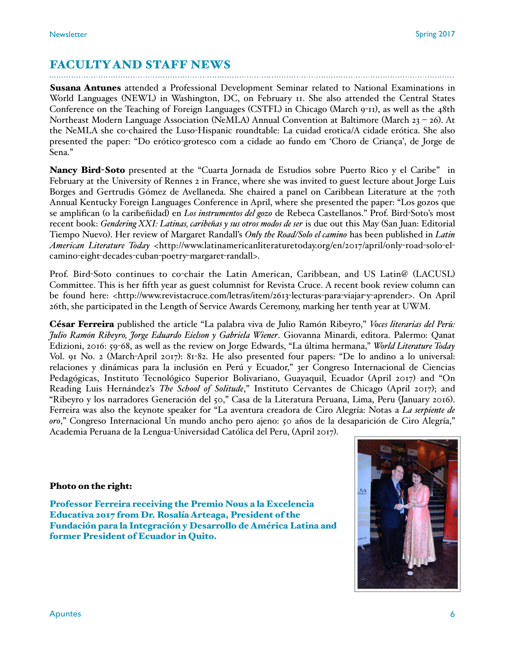## FACULTY AND STAFF NEWS

**Susana Antunes** attended a Professional Development Seminar related to National Examinations in World Languages (NEWL) in Washington, DC, on February 11. She also attended the Central States Conference on the Teaching of Foreign Languages (CSTFL) in Chicago (March 9-11), as well as the 48th Northeast Modern Language Association (NeMLA) Annual Convention at Baltimore (March 23 – 26). At the NeMLA she co-chaired the Luso-Hispanic roundtable: La cuidad erotica/A cidade erótica. She also presented the paper: "Do erótico-grotesco com a cidade ao fundo em 'Choro de Criança', de Jorge de Sena."

Nancy Bird-Soto presented at the "Cuarta Jornada de Estudios sobre Puerto Rico y el Caribe" in February at the University of Rennes 2 in France, where she was invited to guest lecture about Jorge Luis Borges and Gertrudis Gómez de Avellaneda. She chaired a panel on Caribbean Literature at the 70th Annual Kentucky Foreign Languages Conference in April, where she presented the paper: "Los gozos que se amplifican (o la caribeñidad) en *Los instrumentos del gozo* de Rebeca Castellanos." Prof. Bird-Soto's most recent book: *Gendering XXI: Latinas, caribeñas y sus otros modos de ser* is due out this May (San Juan: Editorial Tiempo Nuevo). Her review of Margaret Randall's *Only the Road/Solo el camino* has been published in *Latin American Literature Today* [<http://www.latinamericanliteraturetoday.org/en/2017/april/only](http://www.latinamericanliteraturetoday.org/en/2017/april/only-road-solo-el-camino-eight-decades-cuban-poetry-margaret-randall)-road-solo-elcamino-eight-decades-cuban-poetry-[margaret](http://www.latinamericanliteraturetoday.org/en/2017/april/only-road-solo-el-camino-eight-decades-cuban-poetry-margaret-randall)-randall>.

Prof. Bird-Soto continues to co-chair the Latin American, Caribbean, and US Latin@ (LACUSL) Committee. This is her fifth year as guest columnist for Revista Cruce. A recent book review column can be found here: <[http://www.revistacruce.com/letras/item/2613](http://www.revistacruce.com/letras/item/2613-lecturas-para-viajar-y-aprender)-lecturas-para-viajar-y-aprender>. On April 26th, she participated in the Length of Service Awards Ceremony, marking her tenth year at UWM.

César Ferreira published the article "La palabra viva de Julio Ramón Ribeyro," *Voces literarias del Perú: Julio Ramón Ribeyro, Jorge Eduardo Eielson y Gabriela Wiener*. Giovanna Minardi, editora. Palermo: Qanat Edizioni, 2016: 59-68, as well as the review on Jorge Edwards, "La última hermana," *World Literature Today*  Vol. 91 No. 2 (March-April 2017): 81-82. He also presented four papers: "De lo andino a lo universal: relaciones y dinámicas para la inclusión en Perú y Ecuador," 3er Congreso Internacional de Ciencias Pedagógicas, Instituto Tecnológico Superior Bolivariano, Guayaquil, Ecuador (April 2017) and "On Reading Luis Hernández's *The School of Solitude*," Instituto Cervantes de Chicago (April 2017); and "Ribeyro y los narradores Generación del 50," Casa de la Literatura Peruana, Lima, Peru (January 2016). Ferreira was also the keynote speaker for "La aventura creadora de Ciro Alegría: Notas a *La serpiente de oro*," Congreso Internacional Un mundo ancho pero ajeno: 50 años de la desaparición de Ciro Alegría," Academia Peruana de la Lengua-Universidad Católica del Peru, (April 2017).

#### Photo on the right:

Professor Ferreira receiving the Premio Nous a la Excelencia Educativa 2017 from Dr. Rosalía Arteaga, President of the Fundación para la Integración y Desarrollo de América Latina and former President of Ecuador in Quito.

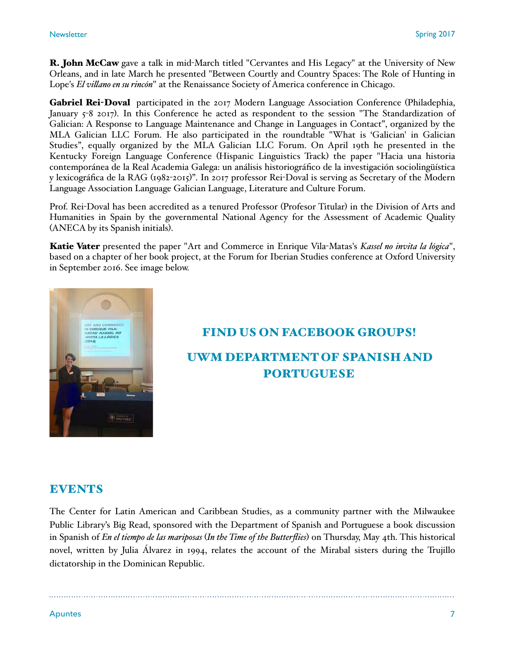**R. John McCaw** gave a talk in mid-March titled "Cervantes and His Legacy" at the University of New Orleans, and in late March he presented "Between Courtly and Country Spaces: The Role of Hunting in Lope's *El vilano en su rincón*" at the Renaissance Society of America conference in Chicago.

Gabriel Rei-Doval participated in the 2017 Modern Language Association Conference (Philadephia, January 5-8 2017). In this Conference he acted as respondent to the session "The Standardization of Galician: A Response to Language Maintenance and Change in Languages in Contact", organized by the MLA Galician LLC Forum. He also participated in the roundtable "What is 'Galician' in Galician Studies", equally organized by the MLA Galician LLC Forum. On April 19th he presented in the Kentucky Foreign Language Conference (Hispanic Linguistics Track) the paper "Hacia una historia contemporánea de la Real Academia Galega: un análisis historiográfico de la investigación sociolingüística y lexicográfica de la RAG (1982-2015)". In 2017 professor Rei-Doval is serving as Secretary of the Modern Language Association Language Galician Language, Literature and Culture Forum.

Prof. Rei-Doval has been accredited as a tenured Professor (Profesor Titular) in the Division of Arts and Humanities in Spain by the governmental National Agency for the Assessment of Academic Quality (ANECA by its Spanish initials).

Katie Vater presented the paper "Art and Commerce in Enrique Vila-Matas's *Kassel no invita la lógica*", based on a chapter of her book project, at the Forum for Iberian Studies conference at Oxford University in September 2016. See image below.



## FIND US ON FACEBOOK GROUPS! UWM DEPARTMENT OF SPANISH AND PORTUGUESE

#### **EVENTS**

The Center for Latin American and Caribbean Studies, as a community partner with the Milwaukee Public Library's Big Read, sponsored with the Department of Spanish and Portuguese a book discussion in Spanish of *En el tiempo de las mariposas* (*In the Time of the Butterflies*) on Thursday, May 4th. This historical novel, written by Julia Álvarez in 1994, relates the account of the Mirabal sisters during the Trujillo dictatorship in the Dominican Republic.

Apuntes 7